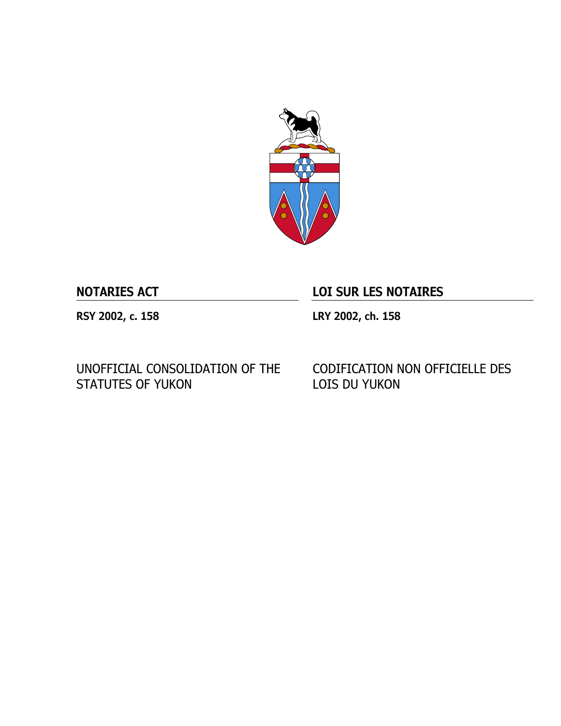

# **NOTARIES ACT LOI SUR LES NOTAIRES**

**RSY 2002, c. 158 LRY 2002, ch. 158**

UNOFFICIAL CONSOLIDATION OF THE STATUTES OF YUKON

CODIFICATION NON OFFICIELLE DES LOIS DU YUKON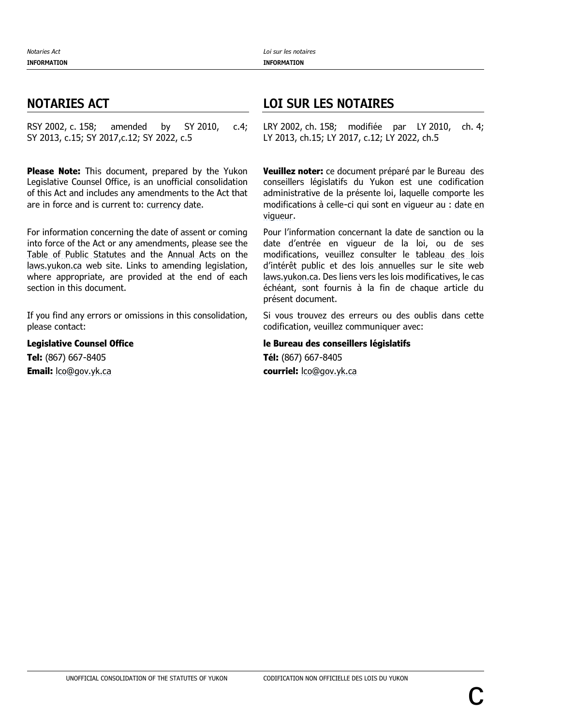RSY 2002, c. 158; amended by SY 2010, c.4; SY 2013, c.15; SY 2017,c.12; SY 2022, c.5

**Please Note:** This document, prepared by the Yukon Legislative Counsel Office, is an unofficial consolidation of this Act and includes any amendments to the Act that are in force and is current to: [currency date.](https://laws.yukon.ca/cms/currency-date.html)

For information concerning the date of assent or coming into force of the Act or any amendments, please see the [Table of Public Statutes](https://laws.yukon.ca/cms/table-of-public-statutes.html) and the [Annual Acts](https://laws.yukon.ca/cms/acts-by-year.html) on the [laws.yukon.ca](https://laws.yukon.ca/) web site. Links to amending legislation, where appropriate, are provided at the end of each section in this document.

If you find any errors or omissions in this consolidation, please contact:

**Legislative Counsel Office Tel:** (867) 667-8405 **Email:** [lco@gov.yk.ca](mailto:lco@gov.yk.ca)

# **NOTARIES ACT LOI SUR LES NOTAIRES**

LRY 2002, ch. 158; modifiée par LY 2010, ch. 4; LY 2013, ch.15; LY 2017, c.12; LY 2022, ch.5

**Veuillez noter:** ce document préparé par le Bureau des conseillers législatifs du Yukon est une codification administrative de la présente loi, laquelle comporte les modifications à celle-ci qui sont en vigueur au : [date en](https://laws.yukon.ca/cms/currency-date.html)  [vigueur.](https://laws.yukon.ca/cms/currency-date.html)

Pour l'information concernant la date de sanction ou la date d'entrée en vigueur de la loi, ou de ses modifications, veuillez consulter le [tableau des lois](https://laws.yukon.ca/cms/table-of-public-statutes.html)  [d'intérêt public](https://laws.yukon.ca/cms/table-of-public-statutes.html) et des [lois annuelles](https://laws.yukon.ca/cms/acts-by-year.html) sur le site web [laws.yukon.ca.](https://laws.yukon.ca/) Des liens vers les lois modificatives, le cas échéant, sont fournis à la fin de chaque article du présent document.

Si vous trouvez des erreurs ou des oublis dans cette codification, veuillez communiquer avec:

### **le Bureau des conseillers législatifs**

**Tél:** (867) 667-8405 **courriel:** [lco@gov.yk.ca](mailto:lco@gov.yk.ca)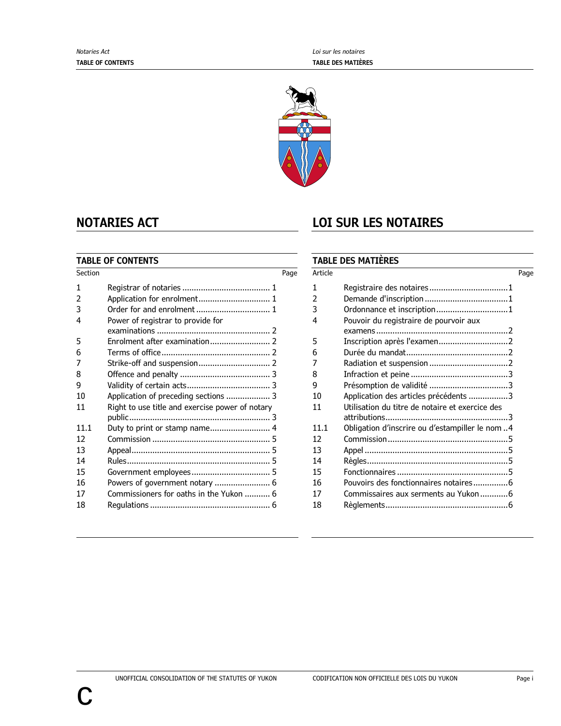

### **TABLE OF CONTENTS**

| Section |                                                 | Page |
|---------|-------------------------------------------------|------|
| 1       |                                                 |      |
| 2       |                                                 |      |
| 3       |                                                 |      |
| 4       | Power of registrar to provide for               |      |
|         |                                                 |      |
| 5       |                                                 |      |
| 6       |                                                 |      |
| 7       |                                                 |      |
| 8       |                                                 |      |
| 9       |                                                 |      |
| 10      |                                                 |      |
| 11      | Right to use title and exercise power of notary |      |
|         |                                                 |      |
| 11.1    | Duty to print or stamp name 4                   |      |
| 12      |                                                 |      |
| 13      |                                                 |      |
| 14      |                                                 |      |
| 15      |                                                 |      |
| 16      |                                                 |      |
| 17      | Commissioners for oaths in the Yukon  6         |      |
| 18      |                                                 |      |

# **NOTARIES ACT LOI SUR LES NOTAIRES**

### **TABLE DES MATIÈRES**

| Article |                                                 | Page |
|---------|-------------------------------------------------|------|
| 1       |                                                 |      |
| 2       |                                                 |      |
| 3       | Ordonnance et inscription1                      |      |
| 4       | Pouvoir du registraire de pourvoir aux          |      |
|         |                                                 |      |
| 5       |                                                 |      |
| 6       |                                                 |      |
| 7       |                                                 |      |
| 8       |                                                 |      |
| 9       |                                                 |      |
| 10      | Application des articles précédents 3           |      |
| 11      | Utilisation du titre de notaire et exercice des |      |
|         |                                                 |      |
| 11.1    | Obligation d'inscrire ou d'estampiller le nom4  |      |
| 12      |                                                 |      |
| 13      |                                                 |      |
| 14      |                                                 |      |
| 15      |                                                 |      |
| 16      | Pouvoirs des fonctionnaires notaires6           |      |
| 17      | Commissaires aux serments au Yukon 6            |      |
| 18      |                                                 |      |
|         |                                                 |      |

c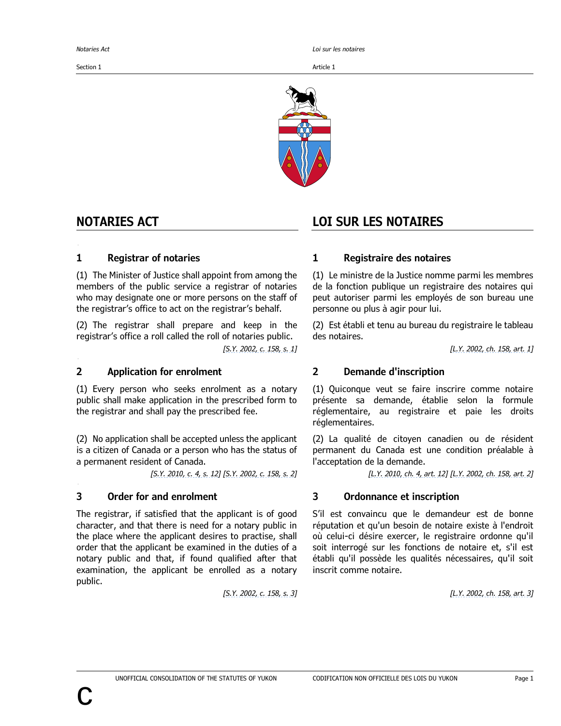Section 1 Article 1 Article 1 Article 1 Article 1 Article 1

*Notaries Act Loi sur les notaires*



<span id="page-4-1"></span>**2 Application f or enrolment (Demande d'inscription)**

<span id="page-4-2"></span>**3 Order for and enrolment (Ordonnanc e et inscript ion)**

(1) The Minister of Justice shall appoint from among the members of the public service a registrar of notaries who may designate one or more persons on the staff of the registrar's office to act on the registrar's behalf.

(2) The registrar shall prepare and keep in the registrar's office a roll called the roll of notaries public.

### **2 Application for enrolment 2 Demande d'inscription**

(1) Every person who seeks enrolment as a notary public shall make application in the prescribed form to the registrar and shall pay the prescribed fee.

(2) No application shall be accepted unless the applicant is a citizen of Canada or a person who has the status of a permanent resident of Canada.

The registrar, if satisfied that the applicant is of good character, and that there is need for a notary public in the place where the applicant desires to practise, shall order that the applicant be examined in the duties of a notary public and that, if found qualified after that examination, the applicant be enrolled as a notary public.

# **NOTARIES ACT LOI SUR LES NOTAIRES**

### <span id="page-4-0"></span>**1 Registrar of notaries 1 Registraire des notaires**

<span id="page-4-3"></span>(1) Le ministre de la Justice nomme parmi les membres de la fonction publique un registraire des notaires qui peut autoriser parmi les employés de son bureau une personne ou plus à agir pour lui.

(2) Est établi et tenu au bureau du registraire le tableau des notaires.

*[S.Y. [2002,](https://laws.yukon.ca/cms/images/LEGISLATION/AMENDING/2002/2002-0158/2002-0158.pdf) c. 158, s. 1] [L.Y. [2002,](https://laws.yukon.ca/cms/images/LEGISLATION/AMENDING/2002/2002-0158/2002-0158.pdf) ch. 158, art. 1]*

<span id="page-4-4"></span>(1) Quiconque veut se faire inscrire comme notaire présente sa demande, établie selon la formule réglementaire, au registraire et paie les droits réglementaires.

(2) La qualité de citoyen canadien ou de résident permanent du Canada est une condition préalable à l'acceptation de la demande.

[S.Y. [2010,](https://laws.yukon.ca/cms/images/LEGISLATION/AMENDING/2010/2010-0004/2010-0004.pdf) c. 4, s. 12] [S.Y. [2002,](https://laws.yukon.ca/cms/images/LEGISLATION/AMENDING/2002/2002-0158/2002-0158.pdf) c. 158, s. 2] [L.Y. 2010, ch. 4, art. 12] [L.Y. 2002, ch. 158, art. 2]

# **3 Order for and enrolment 3 Ordonnance et inscription**

<span id="page-4-5"></span>S'il est convaincu que le demandeur est de bonne réputation et qu'un besoin de notaire existe à l'endroit où celui-ci désire exercer, le registraire ordonne qu'il soit interrogé sur les fonctions de notaire et, s'il est établi qu'il possède les qualités nécessaires, qu'il soit inscrit comme notaire.

*[S.Y. [2002,](https://laws.yukon.ca/cms/images/LEGISLATION/AMENDING/2002/2002-0158/2002-0158.pdf) c. 158, s. 3] [L.Y. [2002,](https://laws.yukon.ca/cms/images/LEGISLATION/AMENDING/2002/2002-0158/2002-0158.pdf) ch. 158, art. 3]*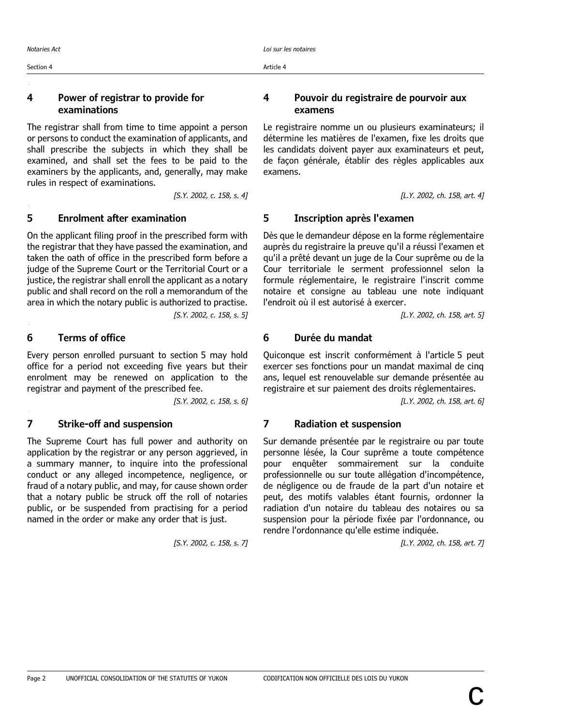### <span id="page-5-0"></span>**4 Power of registrar to provide for examinations**

The registrar shall from time to time appoint a person or persons to conduct the examination of applicants, and shall prescribe the subjects in which they shall be examined, and shall set the fees to be paid to the examiners by the applicants, and, generally, may make rules in respect of examinations.

# <span id="page-5-1"></span>**5 Enrolment after examination 5 Inscription après l'examen**

On the applicant filing proof in the prescribed form with the registrar that they have passed the examination, and taken the oath of office in the prescribed form before a judge of the Supreme Court or the Territorial Court or a justice, the registrar shall enroll the applicant as a notary public and shall record on the roll a memorandum of the area in which the notary public is authorized to practise.

Every person enrolled pursuant to section 5 may hold office for a period not exceeding five years but their enrolment may be renewed on application to the registrar and payment of the prescribed fee.

### <span id="page-5-3"></span>**7 Strike-off and suspension 7 Radiation et suspension**

The Supreme Court has full power and authority on application by the registrar or any person aggrieved, in a summary manner, to inquire into the professional conduct or any alleged incompetence, negligence, or fraud of a notary public, and may, for cause shown order that a notary public be struck off the roll of notaries public, or be suspended from practising for a period named in the order or make any order that is just.

### <span id="page-5-4"></span>**4 Pouvoir du registraire de pourvoir aux examens**

Le registraire nomme un ou plusieurs examinateurs; il détermine les matières de l'examen, fixe les droits que les candidats doivent payer aux examinateurs et peut, de façon générale, établir des règles applicables aux examens.

*[S.Y. [2002,](https://laws.yukon.ca/cms/images/LEGISLATION/AMENDING/2002/2002-0158/2002-0158.pdf) c. 158, s. 4] [L.Y. [2002,](https://laws.yukon.ca/cms/images/LEGISLATION/AMENDING/2002/2002-0158/2002-0158.pdf) ch. 158, art. 4]*

<span id="page-5-5"></span>Dès que le demandeur dépose en la forme réglementaire auprès du registraire la preuve qu'il a réussi l'examen et qu'il a prêté devant un juge de la Cour suprême ou de la Cour territoriale le serment professionnel selon la formule réglementaire, le registraire l'inscrit comme notaire et consigne au tableau une note indiquant l'endroit où il est autorisé à exercer.

*[S.Y. [2002,](https://laws.yukon.ca/cms/images/LEGISLATION/AMENDING/2002/2002-0158/2002-0158.pdf) c. 158, s. 5] [L.Y. [2002,](https://laws.yukon.ca/cms/images/LEGISLATION/AMENDING/2002/2002-0158/2002-0158.pdf) ch. 158, art. 5]*

# <span id="page-5-2"></span>**6 Terms of office 6 Durée du mandat**

<span id="page-5-6"></span>Quiconque est inscrit conformément à l'article 5 peut exercer ses fonctions pour un mandat maximal de cinq ans, lequel est renouvelable sur demande présentée au registraire et sur paiement des droits réglementaires.

*[S.Y. [2002,](https://laws.yukon.ca/cms/images/LEGISLATION/AMENDING/2002/2002-0158/2002-0158.pdf) c. 158, s. 6] [L.Y. [2002,](https://laws.yukon.ca/cms/images/LEGISLATION/AMENDING/2002/2002-0158/2002-0158.pdf) ch. 158, art. 6]*

<span id="page-5-7"></span>Sur demande présentée par le registraire ou par toute personne lésée, la Cour suprême a toute compétence pour enquêter sommairement sur la conduite professionnelle ou sur toute allégation d'incompétence, de négligence ou de fraude de la part d'un notaire et peut, des motifs valables étant fournis, ordonner la radiation d'un notaire du tableau des notaires ou sa suspension pour la période fixée par l'ordonnance, ou rendre l'ordonnance qu'elle estime indiquée.

*[S.Y. [2002,](https://laws.yukon.ca/cms/images/LEGISLATION/AMENDING/2002/2002-0158/2002-0158.pdf) c. 158, s. 7] [L.Y. [2002,](https://laws.yukon.ca/cms/images/LEGISLATION/AMENDING/2002/2002-0158/2002-0158.pdf) ch. 158, art. 7]*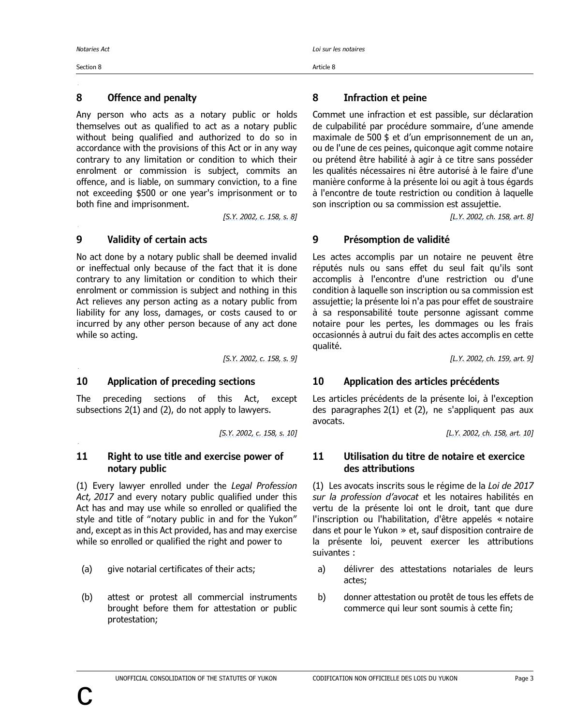<span id="page-6-0"></span>**8 Offence and penalt y (Infraction et peine)**

<span id="page-6-2"></span>**10 Application of preceding sections (Applicat ion des articles précédents)**

<span id="page-6-3"></span>**11 Right to us e title and exercise power of notary public (Utilisation du t itre de notaire et exercice des attributions)**

Section 8 Article 8

# **8 Offence and penalty 8 Infraction et peine**

Any person who acts as a notary public or holds themselves out as qualified to act as a notary public without being qualified and authorized to do so in accordance with the provisions of this Act or in any way contrary to any limitation or condition to which their enrolment or commission is subject, commits an offence, and is liable, on summary conviction, to a fine not exceeding \$500 or one year's imprisonment or to both fine and imprisonment.

No act done by a notary public shall be deemed invalid or ineffectual only because of the fact that it is done contrary to any limitation or condition to which their enrolment or commission is subject and nothing in this Act relieves any person acting as a notary public from liability for any loss, damages, or costs caused to or incurred by any other person because of any act done while so acting.

The preceding sections of this Act, except subsections 2(1) and (2), do not apply to lawyers.

### **11 Right to use title and exercise power of notary public**

(1) Every lawyer enrolled under the *Legal Profession Act, 2017* and every notary public qualified under this Act has and may use while so enrolled or qualified the style and title of "notary public in and for the Yukon" and, except as in this Act provided, has and may exercise while so enrolled or qualified the right and power to

- 
- (b) attest or protest all commercial instruments brought before them for attestation or public protestation;

<span id="page-6-4"></span>Commet une infraction et est passible, sur déclaration de culpabilité par procédure sommaire, d'une amende maximale de 500 \$ et d'un emprisonnement de un an, ou de l'une de ces peines, quiconque agit comme notaire ou prétend être habilité à agir à ce titre sans posséder les qualités nécessaires ni être autorisé à le faire d'une manière conforme à la présente loi ou agit à tous égards à l'encontre de toute restriction ou condition à laquelle son inscription ou sa commission est assujettie.

*[S.Y. [2002,](https://laws.yukon.ca/cms/images/LEGISLATION/AMENDING/2002/2002-0158/2002-0158.pdf) c. 158, s. 8] [L.Y. [2002,](https://laws.yukon.ca/cms/images/LEGISLATION/AMENDING/2002/2002-0158/2002-0158.pdf) ch. 158, art. 8]*

# <span id="page-6-1"></span>**9 Validity of certain acts 9 Présomption de validité**

<span id="page-6-5"></span>Les actes accomplis par un notaire ne peuvent être réputés nuls ou sans effet du seul fait qu'ils sont accomplis à l'encontre d'une restriction ou d'une condition à laquelle son inscription ou sa commission est assujettie; la présente loi n'a pas pour effet de soustraire à sa responsabilité toute personne agissant comme notaire pour les pertes, les dommages ou les frais occasionnés à autrui du fait des actes accomplis en cette qualité.

*[S.Y. [2002,](https://laws.yukon.ca/cms/images/LEGISLATION/AMENDING/2002/2002-0158/2002-0158.pdf) c. 158, s. 9] [L.Y. [2002,](https://laws.yukon.ca/cms/images/LEGISLATION/AMENDING/2002/2002-0159/2002-0159.pdf) ch. 159, art. 9]*

# **10 Application of preceding sections 10 Application des articles précédents**

<span id="page-6-6"></span>Les articles précédents de la présente loi, à l'exception des paragraphes 2(1) et (2), ne s'appliquent pas aux avocats.

*[S.Y. [2002,](https://laws.yukon.ca/cms/images/LEGISLATION/AMENDING/2002/2002-0158/2002-0158.pdf) c. 158, s. 10] [L.Y. [2002,](https://laws.yukon.ca/cms/images/LEGISLATION/AMENDING/2002/2002-0158/2002-0158.pdf) ch. 158, art. 10]*

### <span id="page-6-7"></span>**11 Utilisation du titre de notaire et exercice des attributions**

(1) Les avocats inscrits sous le régime de la *Loi de 2017 sur la profession d'avocat* et les notaires habilités en vertu de la présente loi ont le droit, tant que dure l'inscription ou l'habilitation, d'être appelés « notaire dans et pour le Yukon » et, sauf disposition contraire de la présente loi, peuvent exercer les attributions suivantes :

- (a) give notarial certificates of their acts; a) délivrer des attestations notariales de leurs actes;
	- b) donner attestation ou protêt de tous les effets de commerce qui leur sont soumis à cette fin;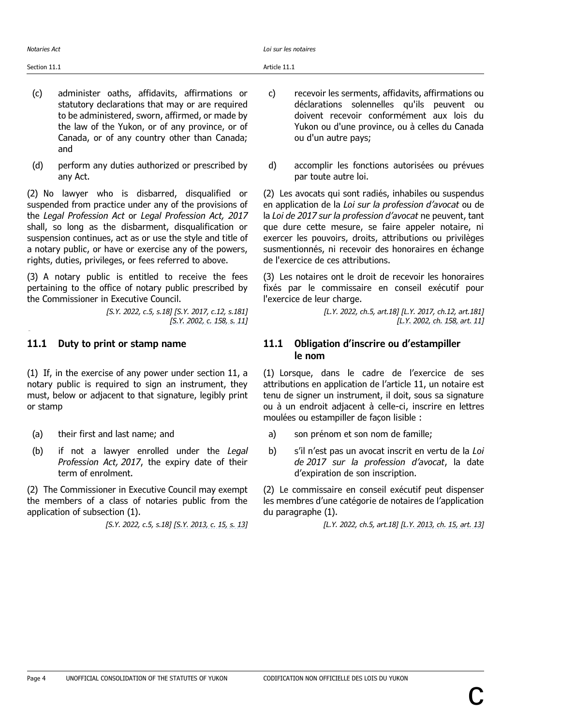- (c) administer oaths, affidavits, affirmations or statutory declarations that may or are required to be administered, sworn, affirmed, or made by the law of the Yukon, or of any province, or of Canada, or of any country other than Canada; and
- (d) perform any duties authorized or prescribed by any Act.

(2) No lawyer who is disbarred, disqualified or suspended from practice under any of the provisions of the *Legal Profession Act* or *Legal Profession Act, 2017* shall, so long as the disbarment, disqualification or suspension continues, act as or use the style and title of a notary public, or have or exercise any of the powers, rights, duties, privileges, or fees referred to above.

(3) A notary public is entitled to receive the fees pertaining to the office of notary public prescribed by the Commissioner in Executive Council.

> *[S.Y. 2022, c.5, s.18] [S.Y. 2017, c.12, s.181] [S.Y. [2002,](https://laws.yukon.ca/cms/images/LEGISLATION/AMENDING/2002/2002-0158/2002-0158.pdf) c. 158, s. 11]*

<span id="page-7-0"></span>**11.1 Duty t o print or stamp name (Obligation d'inscrire ou d'estampiller le nom)**

(1) If, in the exercise of any power under section 11, a notary public is required to sign an instrument, they must, below or adjacent to that signature, legibly print or stamp

- 
- (b) if not a lawyer enrolled under the *Legal Profession Act, 2017*, the expiry date of their term of enrolment.

(2) The Commissioner in Executive Council may exempt the members of a class of notaries public from the application of subsection (1).

- c) recevoir les serments, affidavits, affirmations ou déclarations solennelles qu'ils peuvent ou doivent recevoir conformément aux lois du Yukon ou d'une province, ou à celles du Canada ou d'un autre pays;
- d) accomplir les fonctions autorisées ou prévues par toute autre loi.

(2) Les avocats qui sont radiés, inhabiles ou suspendus en application de la *Loi sur la profession d'avocat* ou de la *Loi de 2017 sur la profession d'avocat* ne peuvent, tant que dure cette mesure, se faire appeler notaire, ni exercer les pouvoirs, droits, attributions ou privilèges susmentionnés, ni recevoir des honoraires en échange de l'exercice de ces attributions.

(3) Les notaires ont le droit de recevoir les honoraires fixés par le commissaire en conseil exécutif pour l'exercice de leur charge.

> *[L.Y. 2022, ch.5, art.18] [L.Y. 2017, ch.12, art.181] [L.Y. [2002,](https://laws.yukon.ca/cms/images/LEGISLATION/AMENDING/2002/2002-0158/2002-0158.pdf) ch. 158, art. 11]*

### **11.1 Duty to print or stamp name 11.1 Obligation d'inscrire ou d'estampiller le nom**

<span id="page-7-1"></span>(1) Lorsque, dans le cadre de l'exercice de ses attributions en application de l'article 11, un notaire est tenu de signer un instrument, il doit, sous sa signature ou à un endroit adjacent à celle-ci, inscrire en lettres moulées ou estampiller de façon lisible :

- (a) their first and last name; and a metal a) son prénom et son nom de famille;
	- b) s'il n'est pas un avocat inscrit en vertu de la *Loi de 2017 sur la profession d'avocat*, la date d'expiration de son inscription.

(2) Le commissaire en conseil exécutif peut dispenser les membres d'une catégorie de notaires de l'application du paragraphe (1).

[S.Y. 2022, c.5, s.18] [S.Y. [2013,](https://laws.yukon.ca/cms/images/LEGISLATION/AMENDING/2013/2013-0015/2013-0015.pdf) c. 15, s. 13] [S.Y. 2022, ch.5, art.18] [L.Y. 2013, ch. 15, art. 13]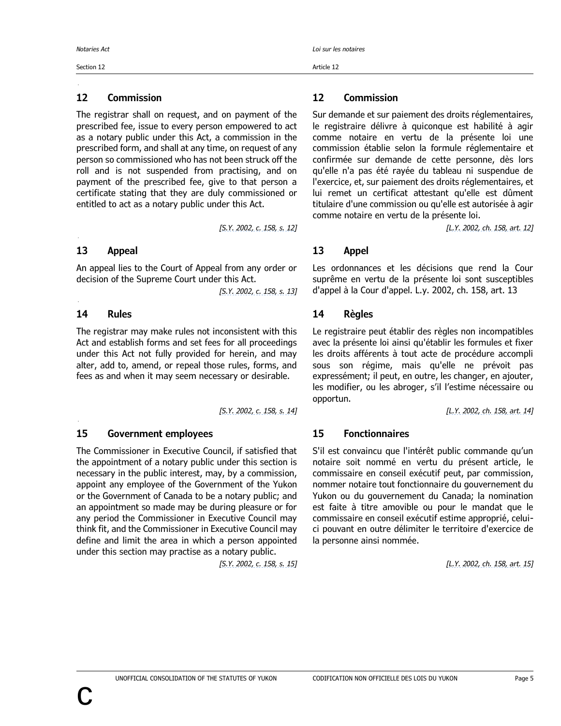### Section 12 Article 12

<span id="page-8-0"></span>**12 Commission (Commission)**

The registrar shall on request, and on payment of the prescribed fee, issue to every person empowered to act as a notary public under this Act, a commission in the prescribed form, and shall at any time, on request of any person so commissioned who has not been struck off the roll and is not suspended from practising, and on payment of the prescribed fee, give to that person a certificate stating that they are duly commissioned or entitled to act as a notary public under this Act.

### **13 Appeal 13 Appel**

<span id="page-8-1"></span>**13 Appeal (Appel)**

<span id="page-8-2"></span>**14 Rules (Règles)**

An appeal lies to the Court of Appeal from any order or decision of the Supreme Court under this Act.

*[S.Y. [2002,](https://laws.yukon.ca/cms/images/LEGISLATION/AMENDING/2002/2002-0158/2002-0158.pdf) c. 158, s. 13]*

The registrar may make rules not inconsistent with this Act and establish forms and set fees for all proceedings under this Act not fully provided for herein, and may alter, add to, amend, or repeal those rules, forms, and fees as and when it may seem necessary or desirable.

### <span id="page-8-3"></span>**15 Government employees 15 Fonctionnaires**

The Commissioner in Executive Council, if satisfied that the appointment of a notary public under this section is necessary in the public interest, may, by a commission, appoint any employee of the Government of the Yukon or the Government of Canada to be a notary public; and an appointment so made may be during pleasure or for any period the Commissioner in Executive Council may think fit, and the Commissioner in Executive Council may define and limit the area in which a person appointed under this section may practise as a notary public.

# **12 Commission 12 Commission**

<span id="page-8-4"></span>Sur demande et sur paiement des droits réglementaires, le registraire délivre à quiconque est habilité à agir comme notaire en vertu de la présente loi une commission établie selon la formule réglementaire et confirmée sur demande de cette personne, dès lors qu'elle n'a pas été rayée du tableau ni suspendue de l'exercice, et, sur paiement des droits réglementaires, et lui remet un certificat attestant qu'elle est dûment titulaire d'une commission ou qu'elle est autorisée à agir comme notaire en vertu de la présente loi.

*[S.Y. [2002,](https://laws.yukon.ca/cms/images/LEGISLATION/AMENDING/2002/2002-0158/2002-0158.pdf) c. 158, s. 12] [L.Y. [2002,](https://laws.yukon.ca/cms/images/LEGISLATION/AMENDING/2002/2002-0158/2002-0158.pdf) ch. 158, art. 12]*

<span id="page-8-5"></span>Les ordonnances et les décisions que rend la Cour suprême en vertu de la présente loi sont susceptibles d'appel à la Cour d'appel. L.y. 2002, ch. 158, art. 13

### **14 Rules 14 Règles**

<span id="page-8-6"></span>Le registraire peut établir des règles non incompatibles avec la présente loi ainsi qu'établir les formules et fixer les droits afférents à tout acte de procédure accompli sous son régime, mais qu'elle ne prévoit pas expressément; il peut, en outre, les changer, en ajouter, les modifier, ou les abroger, s'il l'estime nécessaire ou opportun.

*[S.Y. [2002,](https://laws.yukon.ca/cms/images/LEGISLATION/AMENDING/2002/2002-0158/2002-0158.pdf) c. 158, s. 14] [L.Y. [2002,](https://laws.yukon.ca/cms/images/LEGISLATION/AMENDING/2002/2002-0158/2002-0158.pdf) ch. 158, art. 14]*

<span id="page-8-7"></span>S'il est convaincu que l'intérêt public commande qu'un notaire soit nommé en vertu du présent article, le commissaire en conseil exécutif peut, par commission, nommer notaire tout fonctionnaire du gouvernement du Yukon ou du gouvernement du Canada; la nomination est faite à titre amovible ou pour le mandat que le commissaire en conseil exécutif estime approprié, celuici pouvant en outre délimiter le territoire d'exercice de la personne ainsi nommée.

*[S.Y. [2002,](https://laws.yukon.ca/cms/images/LEGISLATION/AMENDING/2002/2002-0158/2002-0158.pdf) c. 158, s. 15] [L.Y. [2002,](https://laws.yukon.ca/cms/images/LEGISLATION/AMENDING/2002/2002-0158/2002-0158.pdf) ch. 158, art. 15]*